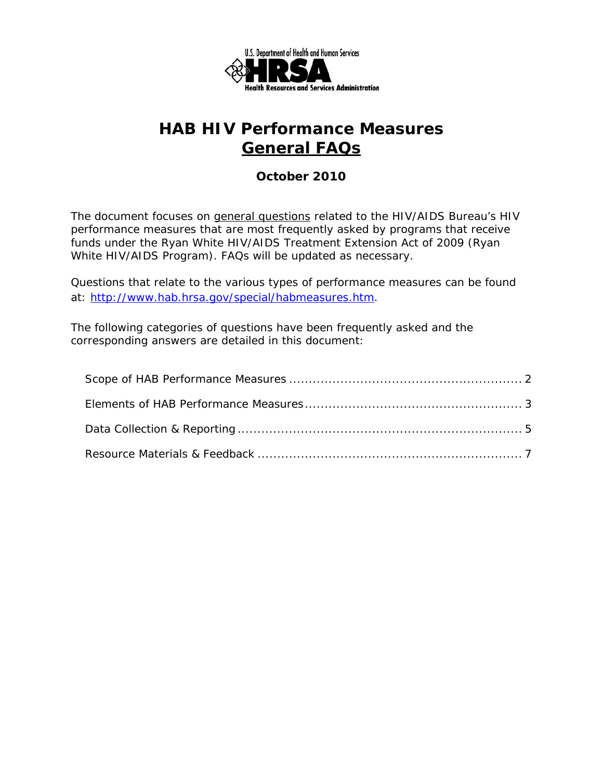

# **HAB HIV Performance Measures General FAQs**

### *October 2010*

 performance measures that are most frequently asked by programs that receive The document focuses on general questions related to the HIV/AIDS Bureau's HIV funds under the Ryan White HIV/AIDS Treatment Extension Act of 2009 (Ryan White HIV/AIDS Program). FAQs will be updated as necessary.

Questions that relate to the various types of performance measures can be found at: http://www.hab.hrsa.gov/special/habmeasures.htm.

The following categories of questions have been frequently asked and the corresponding answers are detailed in this document: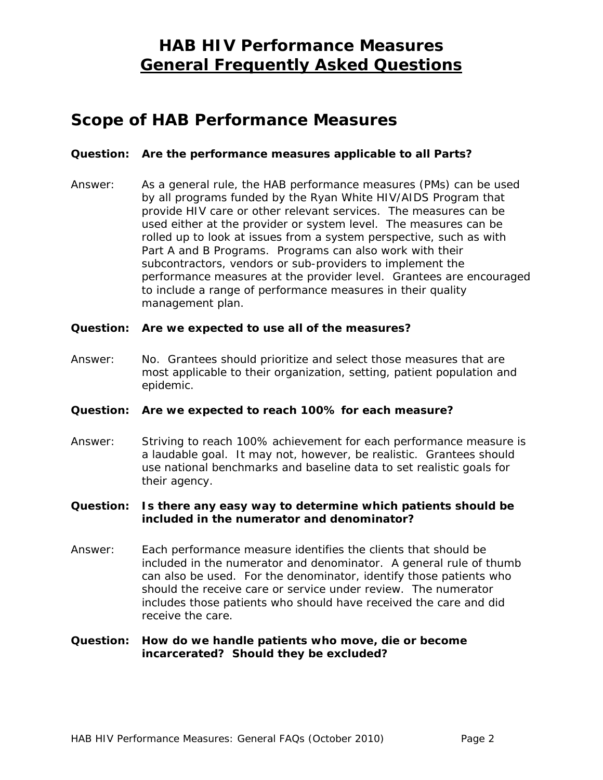### **Scope of HAB Performance Measures**

#### **Question: Are the performance measures applicable to all Parts?**

Answer: As a general rule, the HAB performance measures (PMs) can be used by all programs funded by the Ryan White HIV/AIDS Program that provide HIV care or other relevant services. The measures can be used either at the provider or system level. The measures can be rolled up to look at issues from a system perspective, such as with Part A and B Programs. Programs can also work with their subcontractors, vendors or sub-providers to implement the performance measures at the provider level. Grantees are encouraged to include a range of performance measures in their quality management plan.

#### **Question: Are we expected to use all of the measures?**

Answer: No. Grantees should prioritize and select those measures that are most applicable to their organization, setting, patient population and epidemic.

#### **Question: Are we expected to reach 100% for each measure?**

Answer: Striving to reach 100% achievement for each performance measure is a laudable goal. It may not, however, be realistic. Grantees should use national benchmarks and baseline data to set realistic goals for their agency.

#### **Question: Is there any easy way to determine which patients should be included in the numerator and denominator?**

Answer: Each performance measure identifies the clients that should be included in the numerator and denominator. A general rule of thumb can also be used. For the denominator, identify those patients who should the receive care or service under review. The numerator includes those patients who should have received the care and did receive the care.

#### **Question: How do we handle patients who move, die or become incarcerated? Should they be excluded?**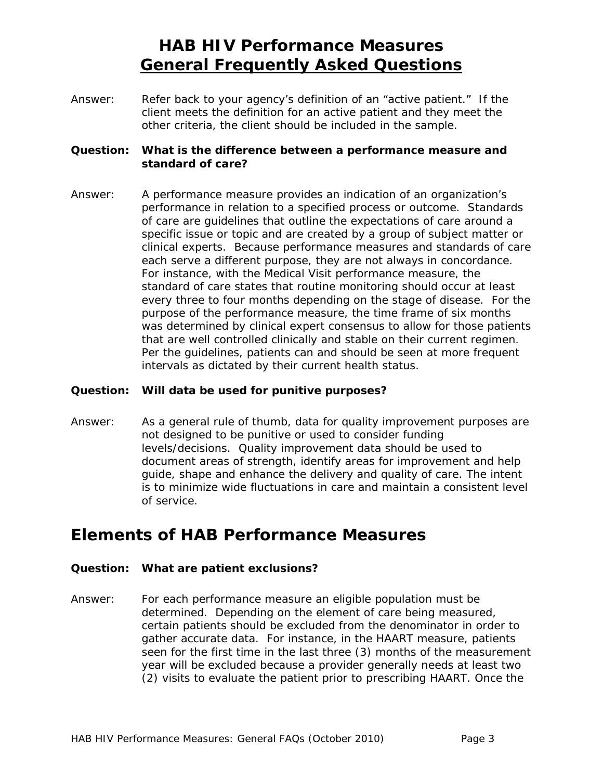Answer: Refer back to your agency's definition of an "active patient." If the client meets the definition for an active patient and they meet the other criteria, the client should be included in the sample.

#### **Question: What is the difference between a performance measure and standard of care?**

Answer: A performance measure provides an indication of an organization's performance in relation to a specified process or outcome. Standards of care are guidelines that outline the expectations of care around a specific issue or topic and are created by a group of subject matter or clinical experts. Because performance measures and standards of care each serve a different purpose, they are not always in concordance. For instance, with the Medical Visit performance measure, the standard of care states that routine monitoring should occur at least every three to four months depending on the stage of disease. For the purpose of the performance measure, the time frame of six months was determined by clinical expert consensus to allow for those patients that are well controlled clinically and stable on their current regimen. Per the guidelines, patients can and should be seen at more frequent intervals as dictated by their current health status.

#### **Question: Will data be used for punitive purposes?**

Answer: As a general rule of thumb, data for quality improvement purposes are not designed to be punitive or used to consider funding levels/decisions. Quality improvement data should be used to document areas of strength, identify areas for improvement and help guide, shape and enhance the delivery and quality of care. The intent is to minimize wide fluctuations in care and maintain a consistent level of service.

### **Elements of HAB Performance Measures**

#### **Question: What are patient exclusions?**

Answer: For each performance measure an eligible population must be determined. Depending on the element of care being measured, certain patients should be excluded from the denominator in order to gather accurate data. For instance, in the HAART measure, patients seen for the first time in the last three (3) months of the measurement year will be excluded because a provider generally needs at least two (2) visits to evaluate the patient prior to prescribing HAART. Once the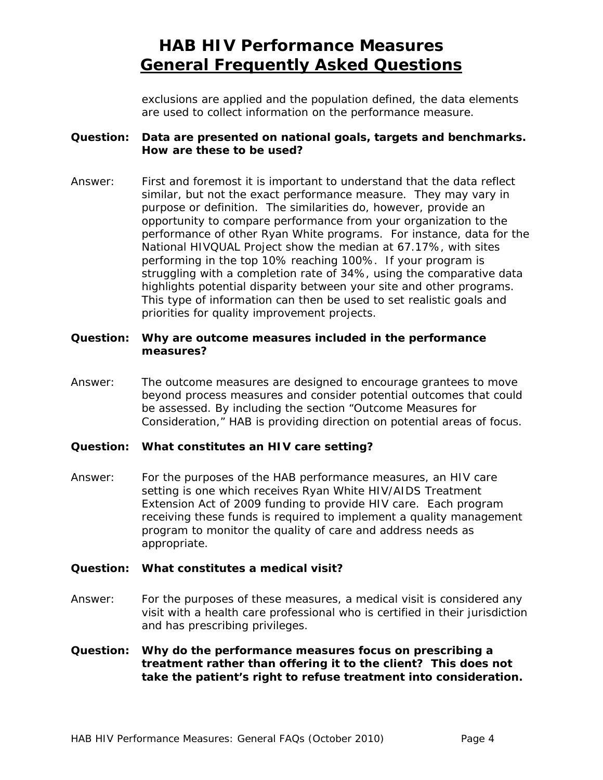exclusions are applied and the population defined, the data elements are used to collect information on the performance measure.

#### **Question: Data are presented on national goals, targets and benchmarks. How are these to be used?**

Answer: First and foremost it is important to understand that the data reflect similar, but not the exact performance measure. They may vary in purpose or definition. The similarities do, however, provide an opportunity to compare performance from your organization to the performance of other Ryan White programs. For instance, data for the National HIVQUAL Project show the median at 67.17%, with sites performing in the top 10% reaching 100%. If your program is struggling with a completion rate of 34%, using the comparative data highlights potential disparity between your site and other programs. This type of information can then be used to set realistic goals and priorities for quality improvement projects.

#### **Question: Why are outcome measures included in the performance measures?**

Answer: The outcome measures are designed to encourage grantees to move beyond process measures and consider potential outcomes that could be assessed. By including the section "Outcome Measures for Consideration," HAB is providing direction on potential areas of focus.

#### **Question: What constitutes an HIV care setting?**

Answer: For the purposes of the HAB performance measures, an HIV care setting is one which receives Ryan White HIV/AIDS Treatment Extension Act of 2009 funding to provide HIV care. Each program receiving these funds is required to implement a quality management program to monitor the quality of care and address needs as appropriate.

#### **Question: What constitutes a medical visit?**

Answer: For the purposes of these measures, a medical visit is considered any visit with a health care professional who is certified in their jurisdiction and has prescribing privileges.

#### **Question: Why do the performance measures focus on prescribing a treatment rather than offering it to the client? This does not take the patient's right to refuse treatment into consideration.**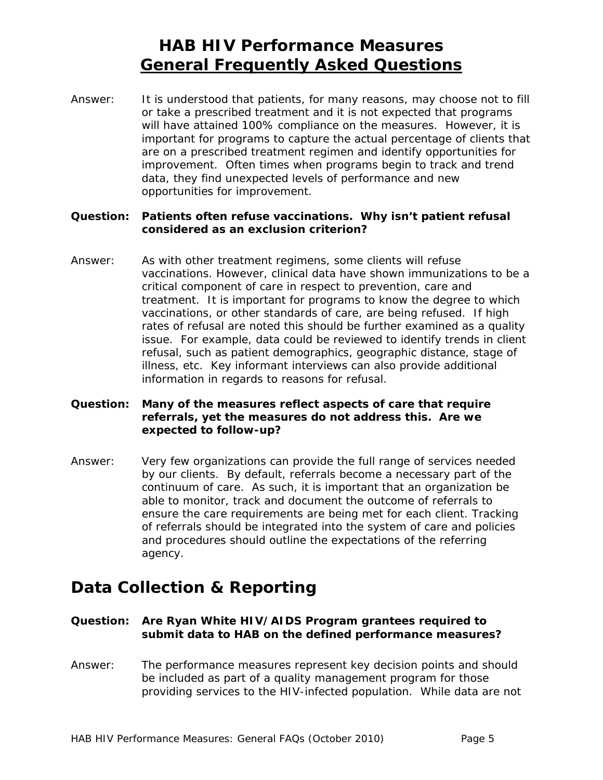Answer: It is understood that patients, for many reasons, may choose not to fill or take a prescribed treatment and it is not expected that programs will have attained 100% compliance on the measures. However, it is important for programs to capture the actual percentage of clients that are on a prescribed treatment regimen and identify opportunities for improvement. Often times when programs begin to track and trend data, they find unexpected levels of performance and new opportunities for improvement.

#### **Question: Patients often refuse vaccinations. Why isn't patient refusal considered as an exclusion criterion?**

 treatment. It is important for programs to know the degree to which Answer: As with other treatment regimens, some clients will refuse vaccinations. However, clinical data have shown immunizations to be a critical component of care in respect to prevention, care and vaccinations, or other standards of care, are being refused. If high rates of refusal are noted this should be further examined as a quality issue. For example, data could be reviewed to identify trends in client refusal, such as patient demographics, geographic distance, stage of illness, etc. Key informant interviews can also provide additional information in regards to reasons for refusal.

#### **Question: Many of the measures reflect aspects of care that require referrals, yet the measures do not address this. Are we expected to follow-up?**

Answer: Very few organizations can provide the full range of services needed by our clients. By default, referrals become a necessary part of the continuum of care. As such, it is important that an organization be able to monitor, track and document the outcome of referrals to ensure the care requirements are being met for each client. Tracking of referrals should be integrated into the system of care and policies and procedures should outline the expectations of the referring agency.

# **Data Collection & Reporting**

#### **Question: Are Ryan White HIV/AIDS Program grantees required to submit data to HAB on the defined performance measures?**

Answer: The performance measures represent key decision points and should be included as part of a quality management program for those providing services to the HIV-infected population. While data are not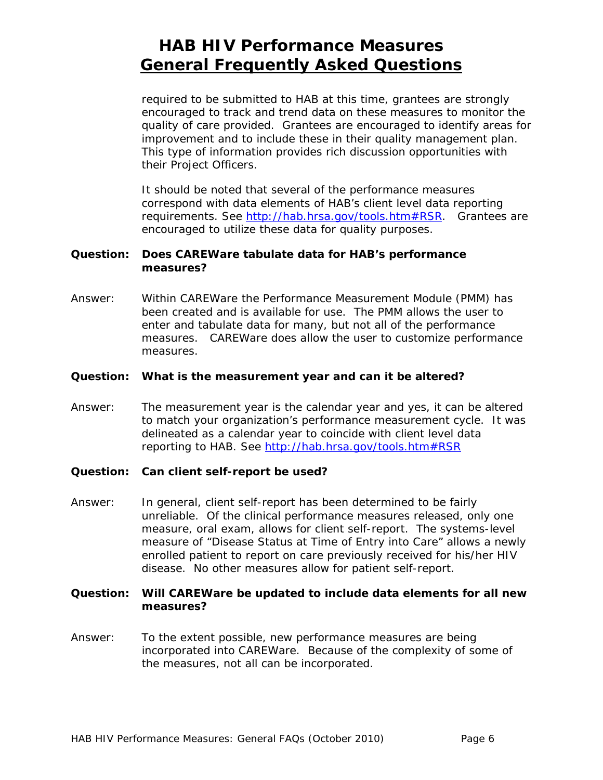required to be submitted to HAB at this time, grantees are strongly encouraged to track and trend data on these measures to monitor the quality of care provided. Grantees are encouraged to identify areas for improvement and to include these in their quality management plan. This type of information provides rich discussion opportunities with their Project Officers.

It should be noted that several of the performance measures correspond with data elements of HAB's client level data reporting requirements. See http://hab.hrsa.gov/tools.htm#RSR. Grantees are encouraged to utilize these data for quality purposes.

#### **Question: Does CAREWare tabulate data for HAB's performance measures?**

Answer: Within CAREWare the Performance Measurement Module (PMM) has been created and is available for use. The PMM allows the user to enter and tabulate data for many, but not all of the performance measures. CAREWare does allow the user to customize performance measures.

#### **Question: What is the measurement year and can it be altered?**

- Answer: The measurement year is the calendar year and yes, it can be altered to match your organization's performance measurement cycle. It was delineated as a calendar year to coincide with client level data reporting to HAB. See http://hab.hrsa.gov/tools.htm#RSR
- **Question: Can client self-report be used?**
- Answer: In general, client self-report has been determined to be fairly unreliable. Of the clinical performance measures released, only one measure, oral exam, allows for client self-report. The systems-level measure of "Disease Status at Time of Entry into Care" allows a newly enrolled patient to report on care previously received for his/her HIV disease. No other measures allow for patient self-report.

#### **Question: Will CAREWare be updated to include data elements for all new measures?**

Answer: To the extent possible, new performance measures are being incorporated into CAREWare. Because of the complexity of some of the measures, not all can be incorporated.